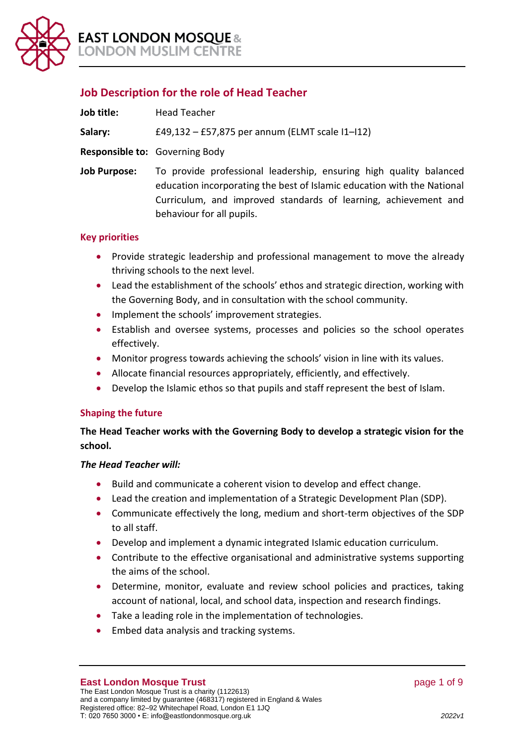

# **Job Description for the role of Head Teacher**

| Job title:   | <b>Head Teacher</b>                                                                                                                                                    |
|--------------|------------------------------------------------------------------------------------------------------------------------------------------------------------------------|
| Salary:      | £49,132 - £57,875 per annum (ELMT scale I1-I12)                                                                                                                        |
|              | <b>Responsible to:</b> Governing Body                                                                                                                                  |
| Job Purpose: | To provide professional leadership, ensuring high q<br>the contract of the contract of the contract of the contract of the contract of the contract of the contract of |

**Job Purpose:** To provide professional leadership, ensuring high quality balanced education incorporating the best of Islamic education with the National Curriculum, and improved standards of learning, achievement and behaviour for all pupils.

# **Key priorities**

- Provide strategic leadership and professional management to move the already thriving schools to the next level.
- Lead the establishment of the schools' ethos and strategic direction, working with the Governing Body, and in consultation with the school community.
- Implement the schools' improvement strategies.
- Establish and oversee systems, processes and policies so the school operates effectively.
- Monitor progress towards achieving the schools' vision in line with its values.
- Allocate financial resources appropriately, efficiently, and effectively.
- Develop the Islamic ethos so that pupils and staff represent the best of Islam.

# **Shaping the future**

**The Head Teacher works with the Governing Body to develop a strategic vision for the school.**

# *The Head Teacher will:*

- Build and communicate a coherent vision to develop and effect change.
- Lead the creation and implementation of a Strategic Development Plan (SDP).
- Communicate effectively the long, medium and short-term objectives of the SDP to all staff.
- Develop and implement a dynamic integrated Islamic education curriculum.
- Contribute to the effective organisational and administrative systems supporting the aims of the school.
- Determine, monitor, evaluate and review school policies and practices, taking account of national, local, and school data, inspection and research findings.
- Take a leading role in the implementation of technologies.
- Embed data analysis and tracking systems.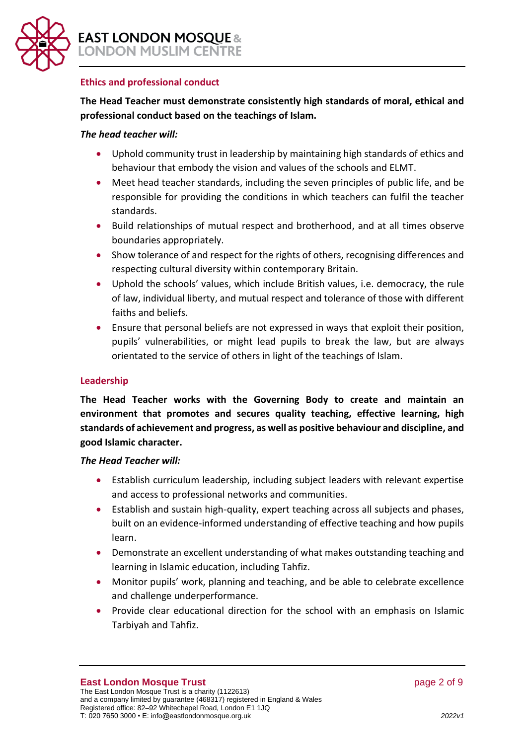

### **Ethics and professional conduct**

# **The Head Teacher must demonstrate consistently high standards of moral, ethical and professional conduct based on the teachings of Islam.**

### *The head teacher will:*

- Uphold community trust in leadership by maintaining high standards of ethics and behaviour that embody the vision and values of the schools and ELMT.
- Meet head teacher standards, including the seven principles of public life, and be responsible for providing the conditions in which teachers can fulfil the teacher standards.
- Build relationships of mutual respect and brotherhood, and at all times observe boundaries appropriately.
- Show tolerance of and respect for the rights of others, recognising differences and respecting cultural diversity within contemporary Britain.
- Uphold the schools' values, which include British values, i.e. democracy, the rule of law, individual liberty, and mutual respect and tolerance of those with different faiths and beliefs.
- Ensure that personal beliefs are not expressed in ways that exploit their position, pupils' vulnerabilities, or might lead pupils to break the law, but are always orientated to the service of others in light of the teachings of Islam.

# **Leadership**

**The Head Teacher works with the Governing Body to create and maintain an environment that promotes and secures quality teaching, effective learning, high standards of achievement and progress, as well as positive behaviour and discipline, and good Islamic character.**

#### *The Head Teacher will:*

- Establish curriculum leadership, including subject leaders with relevant expertise and access to professional networks and communities.
- Establish and sustain high-quality, expert teaching across all subjects and phases, built on an evidence-informed understanding of effective teaching and how pupils learn.
- Demonstrate an excellent understanding of what makes outstanding teaching and learning in Islamic education, including Tahfiz.
- Monitor pupils' work, planning and teaching, and be able to celebrate excellence and challenge underperformance.
- Provide clear educational direction for the school with an emphasis on Islamic Tarbiyah and Tahfiz.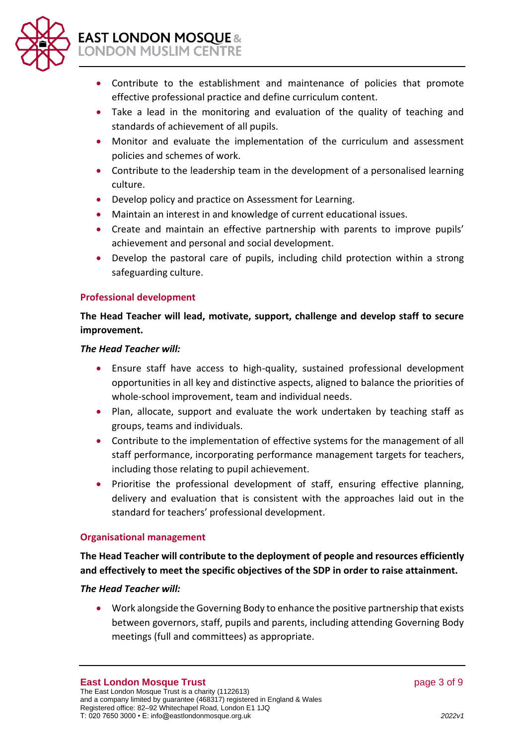

# **EAST LONDON MOSQUE &** LONDON MUSLIM CENTRE

- Contribute to the establishment and maintenance of policies that promote effective professional practice and define curriculum content.
- Take a lead in the monitoring and evaluation of the quality of teaching and standards of achievement of all pupils.
- Monitor and evaluate the implementation of the curriculum and assessment policies and schemes of work.
- Contribute to the leadership team in the development of a personalised learning culture.
- Develop policy and practice on Assessment for Learning.
- Maintain an interest in and knowledge of current educational issues.
- Create and maintain an effective partnership with parents to improve pupils' achievement and personal and social development.
- Develop the pastoral care of pupils, including child protection within a strong safeguarding culture.

# **Professional development**

# **The Head Teacher will lead, motivate, support, challenge and develop staff to secure improvement.**

#### *The Head Teacher will:*

- Ensure staff have access to high-quality, sustained professional development opportunities in all key and distinctive aspects, aligned to balance the priorities of whole-school improvement, team and individual needs.
- Plan, allocate, support and evaluate the work undertaken by teaching staff as groups, teams and individuals.
- Contribute to the implementation of effective systems for the management of all staff performance, incorporating performance management targets for teachers, including those relating to pupil achievement.
- Prioritise the professional development of staff, ensuring effective planning, delivery and evaluation that is consistent with the approaches laid out in the standard for teachers' professional development.

#### **Organisational management**

# **The Head Teacher will contribute to the deployment of people and resources efficiently and effectively to meet the specific objectives of the SDP in order to raise attainment.**

# *The Head Teacher will:*

• Work alongside the Governing Body to enhance the positive partnership that exists between governors, staff, pupils and parents, including attending Governing Body meetings (full and committees) as appropriate.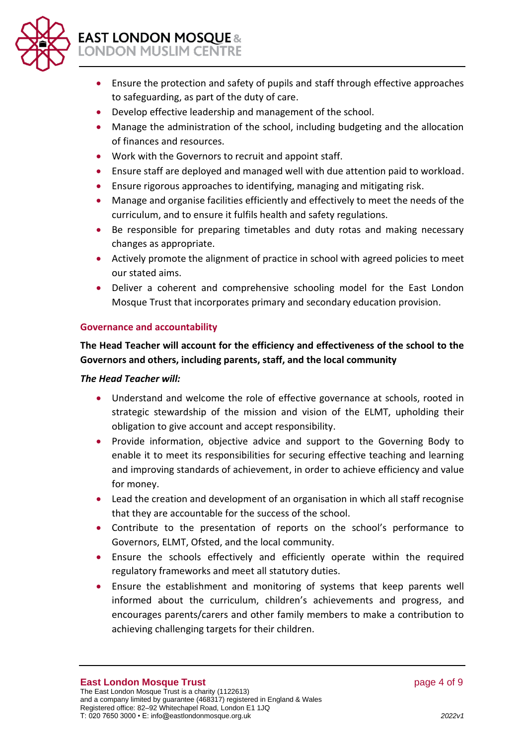

- Ensure the protection and safety of pupils and staff through effective approaches to safeguarding, as part of the duty of care.
- Develop effective leadership and management of the school.
- Manage the administration of the school, including budgeting and the allocation of finances and resources.
- Work with the Governors to recruit and appoint staff.
- Ensure staff are deployed and managed well with due attention paid to workload.
- Ensure rigorous approaches to identifying, managing and mitigating risk.
- Manage and organise facilities efficiently and effectively to meet the needs of the curriculum, and to ensure it fulfils health and safety regulations.
- Be responsible for preparing timetables and duty rotas and making necessary changes as appropriate.
- Actively promote the alignment of practice in school with agreed policies to meet our stated aims.
- Deliver a coherent and comprehensive schooling model for the East London Mosque Trust that incorporates primary and secondary education provision.

# **Governance and accountability**

# **The Head Teacher will account for the efficiency and effectiveness of the school to the Governors and others, including parents, staff, and the local community**

# *The Head Teacher will:*

- Understand and welcome the role of effective governance at schools, rooted in strategic stewardship of the mission and vision of the ELMT, upholding their obligation to give account and accept responsibility.
- Provide information, objective advice and support to the Governing Body to enable it to meet its responsibilities for securing effective teaching and learning and improving standards of achievement, in order to achieve efficiency and value for money.
- Lead the creation and development of an organisation in which all staff recognise that they are accountable for the success of the school.
- Contribute to the presentation of reports on the school's performance to Governors, ELMT, Ofsted, and the local community.
- Ensure the schools effectively and efficiently operate within the required regulatory frameworks and meet all statutory duties.
- Ensure the establishment and monitoring of systems that keep parents well informed about the curriculum, children's achievements and progress, and encourages parents/carers and other family members to make a contribution to achieving challenging targets for their children.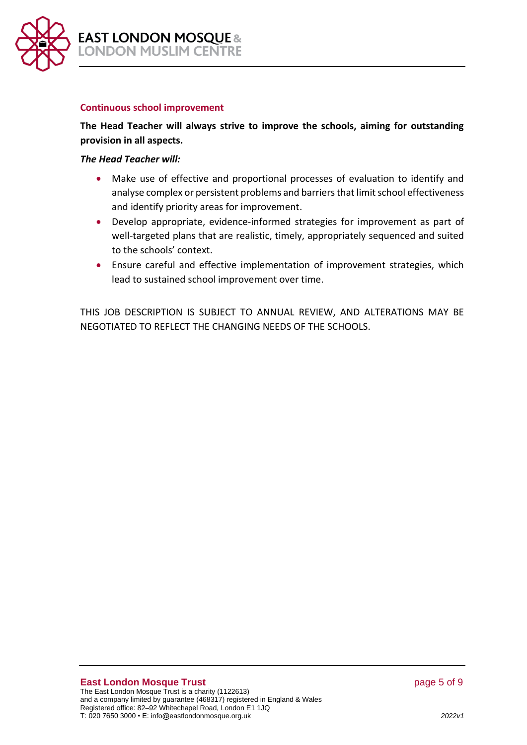

#### **Continuous school improvement**

**The Head Teacher will always strive to improve the schools, aiming for outstanding provision in all aspects.**

#### *The Head Teacher will:*

- Make use of effective and proportional processes of evaluation to identify and analyse complex or persistent problems and barriers that limit school effectiveness and identify priority areas for improvement.
- Develop appropriate, evidence-informed strategies for improvement as part of well-targeted plans that are realistic, timely, appropriately sequenced and suited to the schools' context.
- Ensure careful and effective implementation of improvement strategies, which lead to sustained school improvement over time.

THIS JOB DESCRIPTION IS SUBJECT TO ANNUAL REVIEW, AND ALTERATIONS MAY BE NEGOTIATED TO REFLECT THE CHANGING NEEDS OF THE SCHOOLS.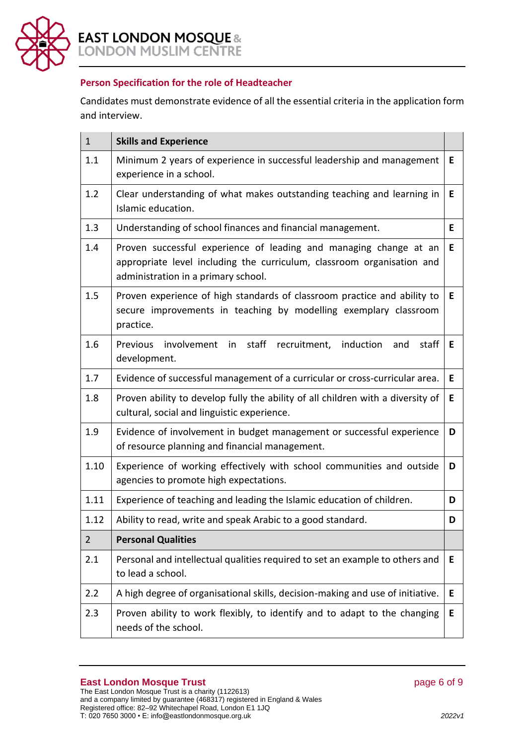

# **Person Specification for the role of Headteacher**

Candidates must demonstrate evidence of all the essential criteria in the application form and interview.

| $\mathbf{1}$   | <b>Skills and Experience</b>                                                                                                                                                       |    |
|----------------|------------------------------------------------------------------------------------------------------------------------------------------------------------------------------------|----|
| 1.1            | Minimum 2 years of experience in successful leadership and management<br>experience in a school.                                                                                   | Е  |
| 1.2            | Clear understanding of what makes outstanding teaching and learning in<br>Islamic education.                                                                                       | Е  |
| 1.3            | Understanding of school finances and financial management.                                                                                                                         | Е  |
| 1.4            | Proven successful experience of leading and managing change at an<br>appropriate level including the curriculum, classroom organisation and<br>administration in a primary school. | E. |
| 1.5            | Proven experience of high standards of classroom practice and ability to<br>secure improvements in teaching by modelling exemplary classroom<br>practice.                          | E. |
| 1.6            | Previous<br>involvement in staff recruitment, induction<br>and<br>staff<br>development.                                                                                            | Е  |
| 1.7            | Evidence of successful management of a curricular or cross-curricular area.                                                                                                        | E. |
| 1.8            | Proven ability to develop fully the ability of all children with a diversity of<br>cultural, social and linguistic experience.                                                     | Е  |
| 1.9            | Evidence of involvement in budget management or successful experience<br>of resource planning and financial management.                                                            | D  |
| 1.10           | Experience of working effectively with school communities and outside<br>agencies to promote high expectations.                                                                    | D  |
| 1.11           | Experience of teaching and leading the Islamic education of children.                                                                                                              | D  |
| 1.12           | Ability to read, write and speak Arabic to a good standard.                                                                                                                        | D  |
| $\overline{2}$ | <b>Personal Qualities</b>                                                                                                                                                          |    |
| 2.1            | Personal and intellectual qualities required to set an example to others and<br>to lead a school.                                                                                  | E  |
| 2.2            | A high degree of organisational skills, decision-making and use of initiative.                                                                                                     | E  |
| 2.3            | Proven ability to work flexibly, to identify and to adapt to the changing<br>needs of the school.                                                                                  | E  |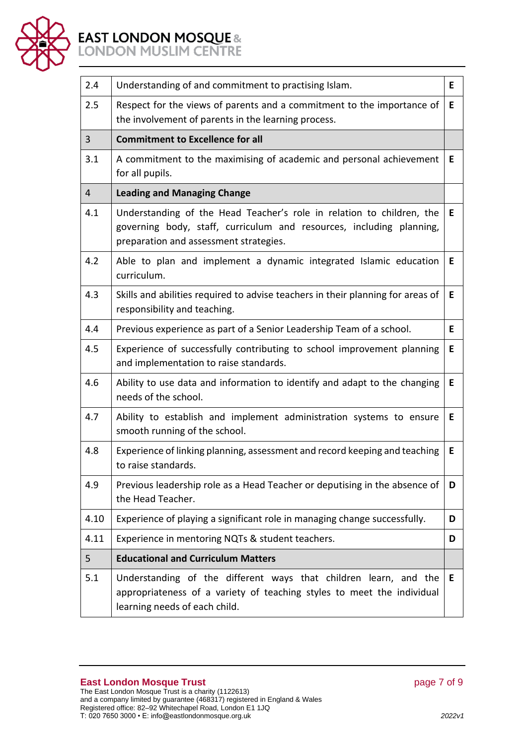

# **EAST LONDON MOSQUE &**<br>LONDON MUSLIM CENTRE

| 2.4            | Understanding of and commitment to practising Islam.                                                                                                                                    | Е |
|----------------|-----------------------------------------------------------------------------------------------------------------------------------------------------------------------------------------|---|
| 2.5            | Respect for the views of parents and a commitment to the importance of<br>the involvement of parents in the learning process.                                                           | E |
| $\overline{3}$ | <b>Commitment to Excellence for all</b>                                                                                                                                                 |   |
| 3.1            | A commitment to the maximising of academic and personal achievement<br>for all pupils.                                                                                                  | E |
| 4              | <b>Leading and Managing Change</b>                                                                                                                                                      |   |
| 4.1            | Understanding of the Head Teacher's role in relation to children, the<br>governing body, staff, curriculum and resources, including planning,<br>preparation and assessment strategies. | Е |
| 4.2            | Able to plan and implement a dynamic integrated Islamic education<br>curriculum.                                                                                                        | Е |
| 4.3            | Skills and abilities required to advise teachers in their planning for areas of<br>responsibility and teaching.                                                                         | Е |
| 4.4            | Previous experience as part of a Senior Leadership Team of a school.                                                                                                                    | Е |
| 4.5            | Experience of successfully contributing to school improvement planning<br>and implementation to raise standards.                                                                        | Е |
| 4.6            | Ability to use data and information to identify and adapt to the changing<br>needs of the school.                                                                                       | Е |
| 4.7            | Ability to establish and implement administration systems to ensure<br>smooth running of the school.                                                                                    | Е |
| 4.8            | Experience of linking planning, assessment and record keeping and teaching<br>to raise standards.                                                                                       | E |
| 4.9            | Previous leadership role as a Head Teacher or deputising in the absence of<br>the Head Teacher.                                                                                         | D |
| 4.10           | Experience of playing a significant role in managing change successfully.                                                                                                               | D |
| 4.11           | Experience in mentoring NQTs & student teachers.                                                                                                                                        | D |
| 5              | <b>Educational and Curriculum Matters</b>                                                                                                                                               |   |
| 5.1            | Understanding of the different ways that children learn, and the<br>appropriateness of a variety of teaching styles to meet the individual<br>learning needs of each child.             | E |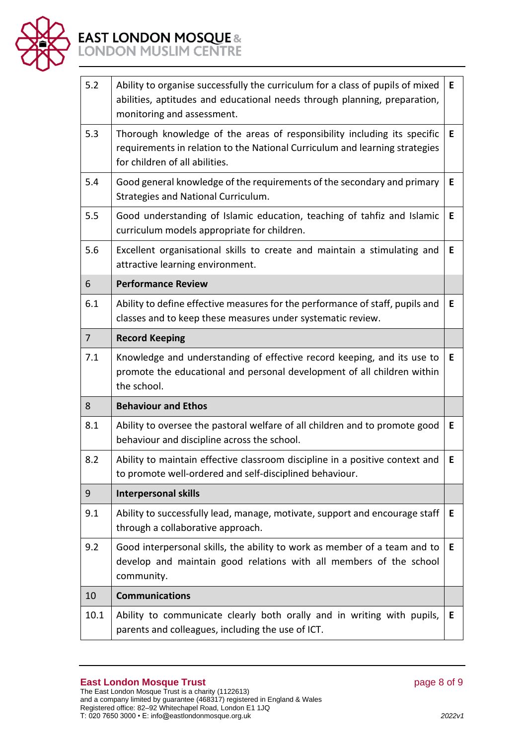

# **EAST LONDON MOSQUE &**<br>LONDON MUSLIM CENTRE

| 5.2  | Ability to organise successfully the curriculum for a class of pupils of mixed<br>abilities, aptitudes and educational needs through planning, preparation,<br>monitoring and assessment. | Е  |
|------|-------------------------------------------------------------------------------------------------------------------------------------------------------------------------------------------|----|
| 5.3  | Thorough knowledge of the areas of responsibility including its specific<br>requirements in relation to the National Curriculum and learning strategies<br>for children of all abilities. | E. |
| 5.4  | Good general knowledge of the requirements of the secondary and primary<br>Strategies and National Curriculum.                                                                            | E  |
| 5.5  | Good understanding of Islamic education, teaching of tahfiz and Islamic<br>curriculum models appropriate for children.                                                                    | Е  |
| 5.6  | Excellent organisational skills to create and maintain a stimulating and<br>attractive learning environment.                                                                              | Е  |
| 6    | <b>Performance Review</b>                                                                                                                                                                 |    |
| 6.1  | Ability to define effective measures for the performance of staff, pupils and<br>classes and to keep these measures under systematic review.                                              | Е  |
| 7    | <b>Record Keeping</b>                                                                                                                                                                     |    |
| 7.1  | Knowledge and understanding of effective record keeping, and its use to<br>promote the educational and personal development of all children within<br>the school.                         | E  |
| 8    | <b>Behaviour and Ethos</b>                                                                                                                                                                |    |
| 8.1  | Ability to oversee the pastoral welfare of all children and to promote good<br>behaviour and discipline across the school.                                                                | Е  |
| 8.2  | Ability to maintain effective classroom discipline in a positive context and<br>to promote well-ordered and self-disciplined behaviour.                                                   | E  |
| 9    | <b>Interpersonal skills</b>                                                                                                                                                               |    |
| 9.1  | Ability to successfully lead, manage, motivate, support and encourage staff<br>through a collaborative approach.                                                                          | E. |
| 9.2  | Good interpersonal skills, the ability to work as member of a team and to<br>develop and maintain good relations with all members of the school<br>community.                             | Е  |
| 10   | <b>Communications</b>                                                                                                                                                                     |    |
| 10.1 | Ability to communicate clearly both orally and in writing with pupils,<br>parents and colleagues, including the use of ICT.                                                               | Е  |